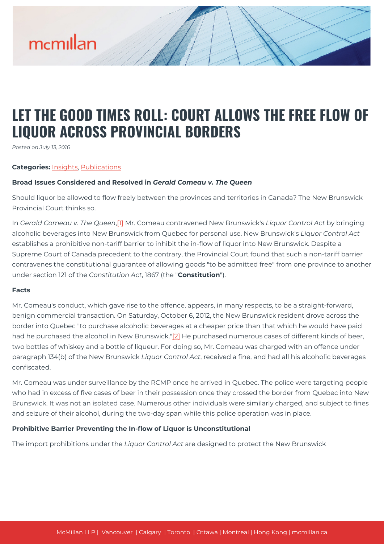### **LET THE GOOD TIMES ROLL: COURT ALLOWS THE FREE FLOW OF LIQUOR ACROSS PROVINCIAL BORDERS**

*Posted on July 13, 2016*

#### **Categories:** [Insights,](https://mcmillan.ca/insights/) [Publications](https://mcmillan.ca/insights/publications/)

#### **Broad Issues Considered and Resolved in** *Gerald Comeau v. The Queen*

Should liquor be allowed to flow freely between the provinces and territories in Canada? The New Brunswick Provincial Court thinks so.

In *Gerald Comeau v. The Queen*[,\[1\]](#page--1-0) Mr. Comeau contravened New Brunswick's *Liquor Control Act* by bringing alcoholic beverages into New Brunswick from Quebec for personal use. New Brunswick's *Liquor Control Act* establishes a prohibitive non-tariff barrier to inhibit the in-flow of liquor into New Brunswick. Despite a Supreme Court of Canada precedent to the contrary, the Provincial Court found that such a non-tariff barrier contravenes the constitutional guarantee of allowing goods "to be admitted free" from one province to another under section 121 of the *Constitution Act*, 1867 (the "**Constitution**").

#### **Facts**

Mr. Comeau's conduct, which gave rise to the offence, appears, in many respects, to be a straight-forward, benign commercial transaction. On Saturday, October 6, 2012, the New Brunswick resident drove across the border into Quebec "to purchase alcoholic beverages at a cheaper price than that which he would have paid had he purchased the alcohol in New Brunswick.["\[2\]](#page--1-0) He purchased numerous cases of different kinds of beer, two bottles of whiskey and a bottle of liqueur. For doing so, Mr. Comeau was charged with an offence under paragraph 134(b) of the New Brunswick *Liquor Control Act*, received a fine, and had all his alcoholic beverages confiscated.

Mr. Comeau was under surveillance by the RCMP once he arrived in Quebec. The police were targeting people who had in excess of five cases of beer in their possession once they crossed the border from Quebec into New Brunswick. It was not an isolated case. Numerous other individuals were similarly charged, and subject to fines and seizure of their alcohol, during the two-day span while this police operation was in place.

#### **Prohibitive Barrier Preventing the In-flow of Liquor is Unconstitutional**

The import prohibitions under the *Liquor Control Act* are designed to protect the New Brunswick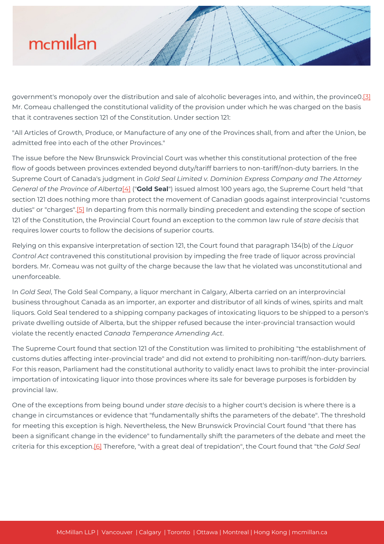government's monopoly over the distribution and sale of alcoholic beverages into, and within, the province0.[\[3\]](#page--1-0) Mr. Comeau challenged the constitutional validity of the provision under which he was charged on the basis that it contravenes section 121 of the Constitution. Under section 121:

"All Articles of Growth, Produce, or Manufacture of any one of the Provinces shall, from and after the Union, be admitted free into each of the other Provinces."

The issue before the New Brunswick Provincial Court was whether this constitutional protection of the free flow of goods between provinces extended beyond duty/tariff barriers to non-tariff/non-duty barriers. In the Supreme Court of Canada's judgment in *Gold Seal Limited v. Dominion Express Company and The Attorney General of the Province of Alberta*[\[4\]](#page--1-0) ("**Gold Seal**") issued almost 100 years ago, the Supreme Court held "that section 121 does nothing more than protect the movement of Canadian goods against interprovincial "customs duties" or "charges".[\[5\]](#page--1-0) In departing from this normally binding precedent and extending the scope of section 121 of the Constitution, the Provincial Court found an exception to the common law rule of *stare decisis* that requires lower courts to follow the decisions of superior courts.

Relying on this expansive interpretation of section 121, the Court found that paragraph 134(b) of the *Liquor Control Act* contravened this constitutional provision by impeding the free trade of liquor across provincial borders. Mr. Comeau was not guilty of the charge because the law that he violated was unconstitutional and unenforceable.

In *Gold Seal*, The Gold Seal Company, a liquor merchant in Calgary, Alberta carried on an interprovincial business throughout Canada as an importer, an exporter and distributor of all kinds of wines, spirits and malt liquors. Gold Seal tendered to a shipping company packages of intoxicating liquors to be shipped to a person's private dwelling outside of Alberta, but the shipper refused because the inter-provincial transaction would violate the recently enacted *Canada Temperance Amending Act*.

The Supreme Court found that section 121 of the Constitution was limited to prohibiting "the establishment of customs duties affecting inter-provincial trade" and did not extend to prohibiting non-tariff/non-duty barriers. For this reason, Parliament had the constitutional authority to validly enact laws to prohibit the inter-provincial importation of intoxicating liquor into those provinces where its sale for beverage purposes is forbidden by provincial law.

One of the exceptions from being bound under *stare decisis* to a higher court's decision is where there is a change in circumstances or evidence that "fundamentally shifts the parameters of the debate". The threshold for meeting this exception is high. Nevertheless, the New Brunswick Provincial Court found "that there has been a significant change in the evidence" to fundamentally shift the parameters of the debate and meet the criteria for this exception[.\[6\]](#page--1-0) Therefore, "with a great deal of trepidation", the Court found that "the *Gold Seal*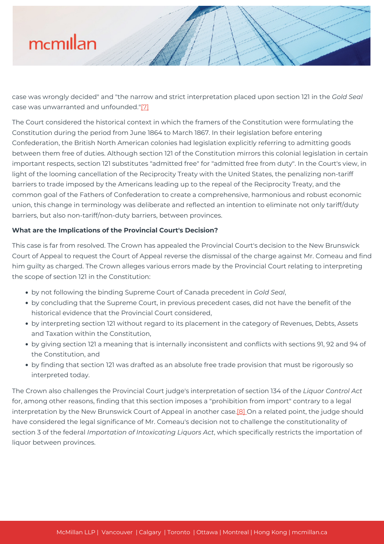case was wrongly decided" and "the narrow and strict interpretation placed upon section 121 in the *Gold Seal* case was unwarranted and unfounded."[\[7\]](#page--1-0)

The Court considered the historical context in which the framers of the Constitution were formulating the Constitution during the period from June 1864 to March 1867. In their legislation before entering Confederation, the British North American colonies had legislation explicitly referring to admitting goods between them free of duties. Although section 121 of the Constitution mirrors this colonial legislation in certain important respects, section 121 substitutes "admitted free" for "admitted free from duty". In the Court's view, in light of the looming cancellation of the Reciprocity Treaty with the United States, the penalizing non-tariff barriers to trade imposed by the Americans leading up to the repeal of the Reciprocity Treaty, and the common goal of the Fathers of Confederation to create a comprehensive, harmonious and robust economic union, this change in terminology was deliberate and reflected an intention to eliminate not only tariff/duty barriers, but also non-tariff/non-duty barriers, between provinces.

#### **What are the Implications of the Provincial Court's Decision?**

This case is far from resolved. The Crown has appealed the Provincial Court's decision to the New Brunswick Court of Appeal to request the Court of Appeal reverse the dismissal of the charge against Mr. Comeau and find him guilty as charged. The Crown alleges various errors made by the Provincial Court relating to interpreting the scope of section 121 in the Constitution:

- by not following the binding Supreme Court of Canada precedent in *Gold Seal*,
- by concluding that the Supreme Court, in previous precedent cases, did not have the benefit of the historical evidence that the Provincial Court considered,
- by interpreting section 121 without regard to its placement in the category of Revenues, Debts, Assets and Taxation within the Constitution,
- by giving section 121 a meaning that is internally inconsistent and conflicts with sections 91, 92 and 94 of the Constitution, and
- by finding that section 121 was drafted as an absolute free trade provision that must be rigorously so interpreted today.

The Crown also challenges the Provincial Court judge's interpretation of section 134 of the *Liquor Control Act* for, among other reasons, finding that this section imposes a "prohibition from import" contrary to a legal interpretation by the New Brunswick Court of Appeal in another case.<sup>[8]</sup> On a related point, the judge should have considered the legal significance of Mr. Comeau's decision not to challenge the constitutionality of section 3 of the federal *Importation of Intoxicating Liquors Act*, which specifically restricts the importation of liquor between provinces.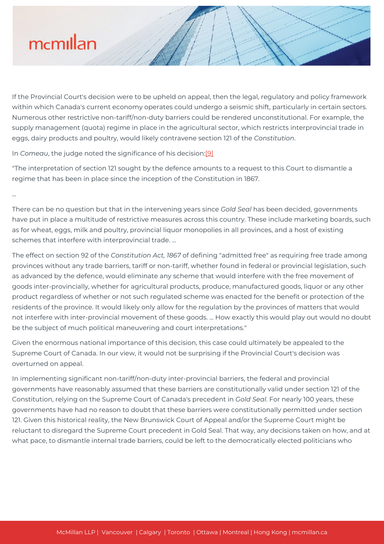...

If the Provincial Court's decision were to be upheld on appeal, then the legal, regulatory and policy framework within which Canada's current economy operates could undergo a seismic shift, particularly in certain sectors. Numerous other restrictive non-tariff/non-duty barriers could be rendered unconstitutional. For example, the supply management (quota) regime in place in the agricultural sector, which restricts interprovincial trade in eggs, dairy products and poultry, would likely contravene section 121 of the *Constitution*.

In *Comeau*, the judge noted the significance of his decision:[\[9\]](#page--1-0)

"The interpretation of section 121 sought by the defence amounts to a request to this Court to dismantle a regime that has been in place since the inception of the Constitution in 1867.

There can be no question but that in the intervening years since *Gold Seal* has been decided, governments have put in place a multitude of restrictive measures across this country. These include marketing boards, such as for wheat, eggs, milk and poultry, provincial liquor monopolies in all provinces, and a host of existing schemes that interfere with interprovincial trade. ...

The effect on section 92 of the *Constitution Act, 1867* of defining "admitted free" as requiring free trade among provinces without any trade barriers, tariff or non-tariff, whether found in federal or provincial legislation, such as advanced by the defence, would eliminate any scheme that would interfere with the free movement of goods inter-provincially, whether for agricultural products, produce, manufactured goods, liquor or any other product regardless of whether or not such regulated scheme was enacted for the benefit or protection of the residents of the province. It would likely only allow for the regulation by the provinces of matters that would not interfere with inter-provincial movement of these goods. ... How exactly this would play out would no doubt be the subject of much political maneuvering and court interpretations."

Given the enormous national importance of this decision, this case could ultimately be appealed to the Supreme Court of Canada. In our view, it would not be surprising if the Provincial Court's decision was overturned on appeal.

In implementing significant non-tariff/non-duty inter-provincial barriers, the federal and provincial governments have reasonably assumed that these barriers are constitutionally valid under section 121 of the Constitution, relying on the Supreme Court of Canada's precedent in *Gold Seal*. For nearly 100 years, these governments have had no reason to doubt that these barriers were constitutionally permitted under section 121. Given this historical reality, the New Brunswick Court of Appeal and/or the Supreme Court might be reluctant to disregard the Supreme Court precedent in Gold Seal. That way, any decisions taken on how, and at what pace, to dismantle internal trade barriers, could be left to the democratically elected politicians who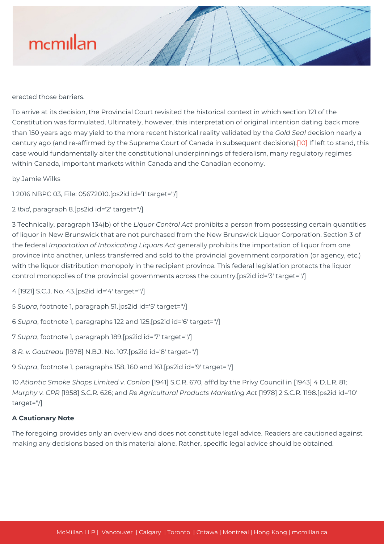erected those barriers.

To arrive at its decision, the Provincial Court revisited the historical context in which section 121 of the Constitution was formulated. Ultimately, however, this interpretation of original intention dating back more than 150 years ago may yield to the more recent historical reality validated by the *Gold Seal* decision nearly a century ago (and re-affirmed by the Supreme Court of Canada in subsequent decisions)[.\[10\]](#page--1-0) If left to stand, this case would fundamentally alter the constitutional underpinnings of federalism, many regulatory regimes within Canada, important markets within Canada and the Canadian economy.

by Jamie Wilks

1 2016 NBPC 03, File: 05672010.[ps2id id='1' target=''/]

2 *Ibid*, paragraph 8.[ps2id id='2' target=''/]

3 Technically, paragraph 134(b) of the *Liquor Control Act* prohibits a person from possessing certain quantities of liquor in New Brunswick that are not purchased from the New Brunswick Liquor Corporation. Section 3 of the federal *Importation of Intoxicating Liquors Act* generally prohibits the importation of liquor from one province into another, unless transferred and sold to the provincial government corporation (or agency, etc.) with the liquor distribution monopoly in the recipient province. This federal legislation protects the liquor control monopolies of the provincial governments across the country.[ps2id id='3' target=''/]

4 [1921] S.C.J. No. 43.[ps2id id='4' target=''/]

5 *Supra*, footnote 1, paragraph 51.[ps2id id='5' target=''/]

6 *Supra*, footnote 1, paragraphs 122 and 125.[ps2id id='6' target=''/]

7 *Supra*, footnote 1, paragraph 189.[ps2id id='7' target=''/]

8 *R. v. Gautreau* [1978] N.B.J. No. 107.[ps2id id='8' target=''/]

9 *Supra*, footnote 1, paragraphs 158, 160 and 161.[ps2id id='9' target=''/]

10 *Atlantic Smoke Shops Limited v. Conlon* [1941] S.C.R. 670, aff'd by the Privy Council in [1943] 4 D.L.R. 81; *Murphy v. CPR* [1958] S.C.R. 626; and *Re Agricultural Products Marketing Act* [1978] 2 S.C.R. 1198.[ps2id id='10' target=''/]

### **A Cautionary Note**

The foregoing provides only an overview and does not constitute legal advice. Readers are cautioned against making any decisions based on this material alone. Rather, specific legal advice should be obtained.